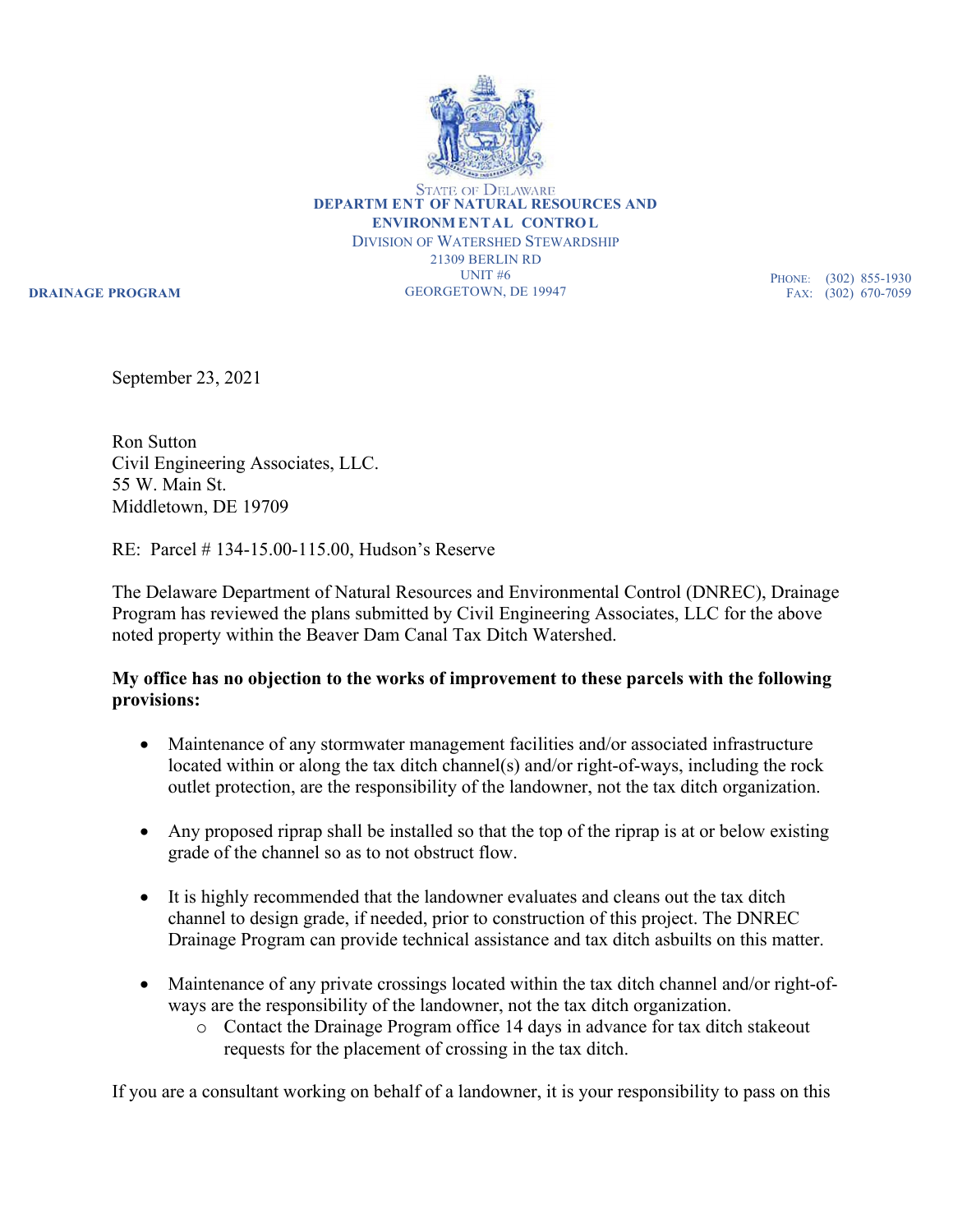

**DEPARTM ENT OF NATURAL RESOURCES AND ENVIRONM ENTAL CONTROL** DIVISION OF WATERSHED STEWARDSHIP 21309 BERLIN RD UNIT #6 GEORGETOWN, DE 19947

**DRAINAGE PROGRAM**

PHONE: (302) 855-1930 FAX: (302) 670-7059

September 23, 2021

Ron Sutton Civil Engineering Associates, LLC. 55 W. Main St. Middletown, DE 19709

RE: Parcel # 134-15.00-115.00, Hudson's Reserve

The Delaware Department of Natural Resources and Environmental Control (DNREC), Drainage Program has reviewed the plans submitted by Civil Engineering Associates, LLC for the above noted property within the Beaver Dam Canal Tax Ditch Watershed.

## **My office has no objection to the works of improvement to these parcels with the following provisions:**

- Maintenance of any stormwater management facilities and/or associated infrastructure located within or along the tax ditch channel(s) and/or right-of-ways, including the rock outlet protection, are the responsibility of the landowner, not the tax ditch organization.
- Any proposed riprap shall be installed so that the top of the riprap is at or below existing grade of the channel so as to not obstruct flow.
- It is highly recommended that the landowner evaluates and cleans out the tax ditch channel to design grade, if needed, prior to construction of this project. The DNREC Drainage Program can provide technical assistance and tax ditch asbuilts on this matter.
- Maintenance of any private crossings located within the tax ditch channel and/or right-ofways are the responsibility of the landowner, not the tax ditch organization.
	- o Contact the Drainage Program office 14 days in advance for tax ditch stakeout requests for the placement of crossing in the tax ditch.

If you are a consultant working on behalf of a landowner, it is your responsibility to pass on this